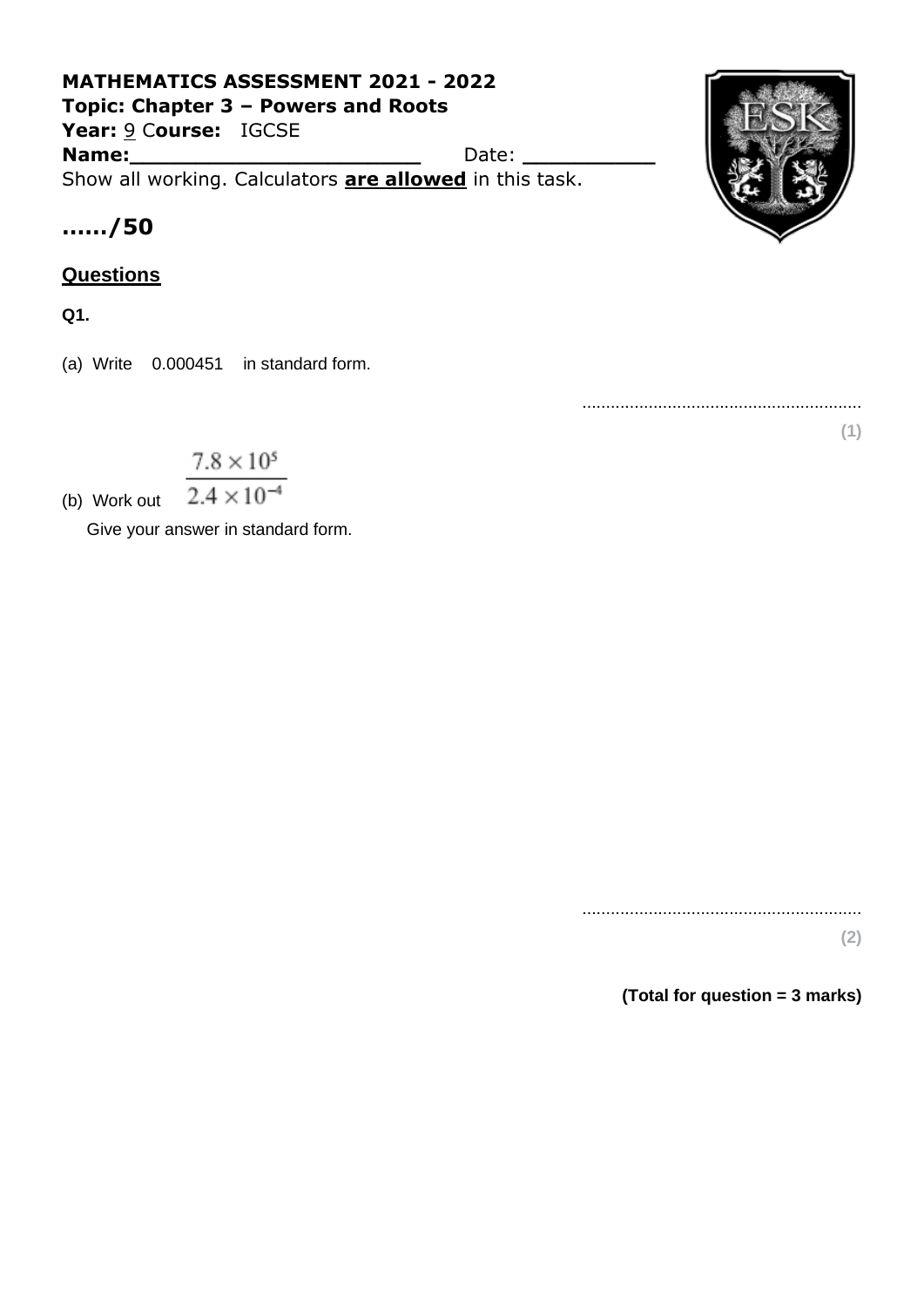## **MATHEMATICS ASSESSMENT 2021 - 2022 Topic: Chapter 3 – Powers and Roots Year:** 9 C**ourse:** IGCSE **Name:** Date: 2008. Date: 2008. Date: 2008. Date: 2008. Date: 2008. 2018. 2019. 2019. 2019. 2019. 2019. 2019. 2019. 2019. 2019. 2019. 2019. 2019. 2019. 2019. 2019. 2019. 2019. 2019. 2019. 2019. 2019. 2019. 2019. 2019. 2019 Show all working. Calculators **are allowed** in this task.



# **……/50**

### **Questions**

**Q1.**

(a) Write 0.000451 in standard form.

...........................................................

**(1)**

 $7.8 \times 10^5$ 

 $2.4 \times 10^{-4}$ (b) Work out

Give your answer in standard form.

........................................................... **(2)**

**(Total for question = 3 marks)**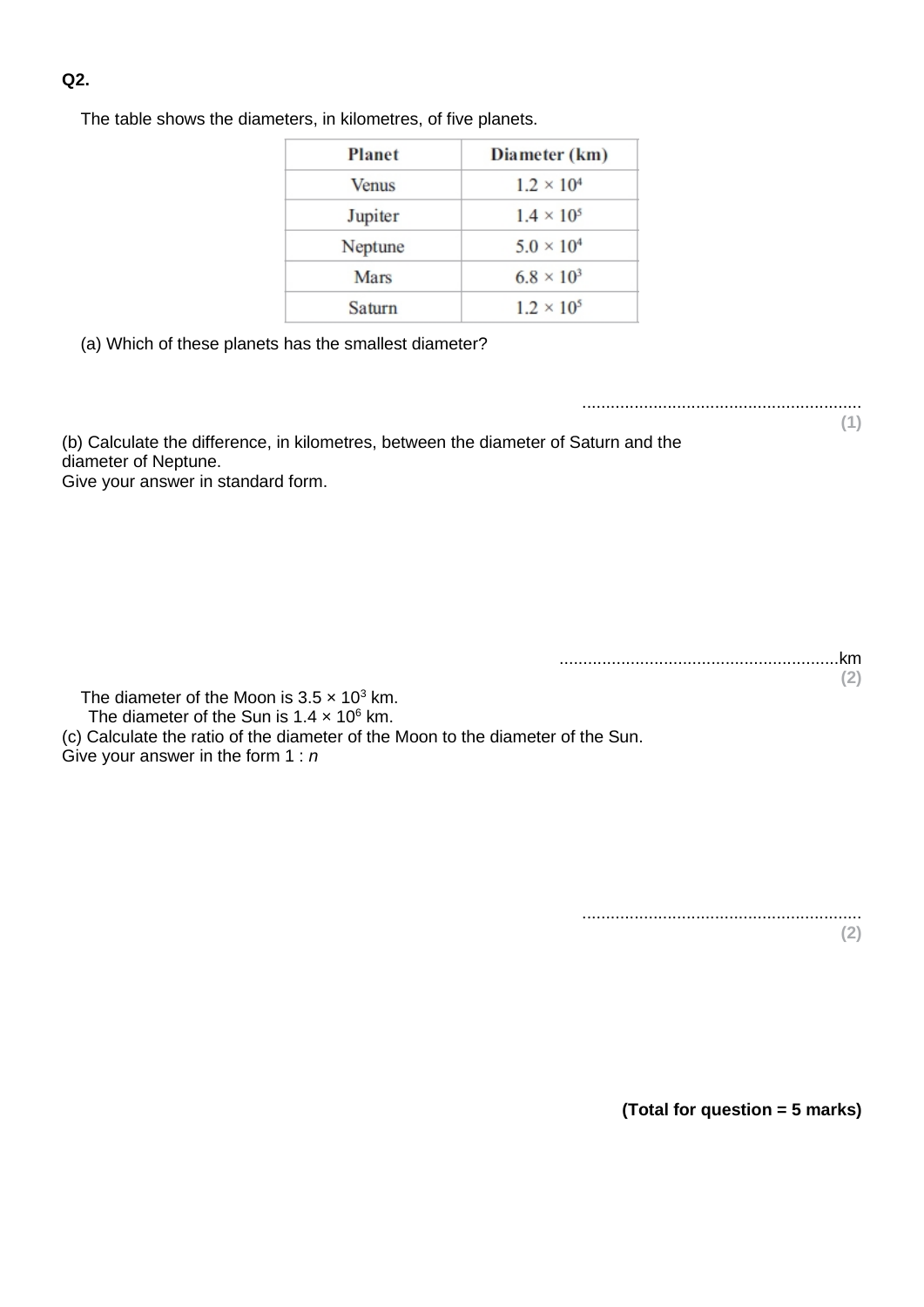#### **Q2.**

The table shows the diameters, in kilometres, of five planets.

| <b>Planet</b> | Diameter (km)       |
|---------------|---------------------|
| <b>Venus</b>  | $1.2 \times 10^{4}$ |
| Jupiter       | $1.4 \times 10^{5}$ |
| Neptune       | $5.0 \times 10^{4}$ |
| Mars          | $6.8 \times 10^{3}$ |
| Saturn        | $1.2 \times 10^{5}$ |

(a) Which of these planets has the smallest diameter?

...........................................................

**(1)**

(b) Calculate the difference, in kilometres, between the diameter of Saturn and the diameter of Neptune.

Give your answer in standard form.

...........................................................km **(2)**

The diameter of the Moon is  $3.5 \times 10^3$  km.

The diameter of the Sun is  $1.4 \times 10^6$  km.

(c) Calculate the ratio of the diameter of the Moon to the diameter of the Sun.

Give your answer in the form 1 : *n*

........................................................... **(2)**

**(Total for question = 5 marks)**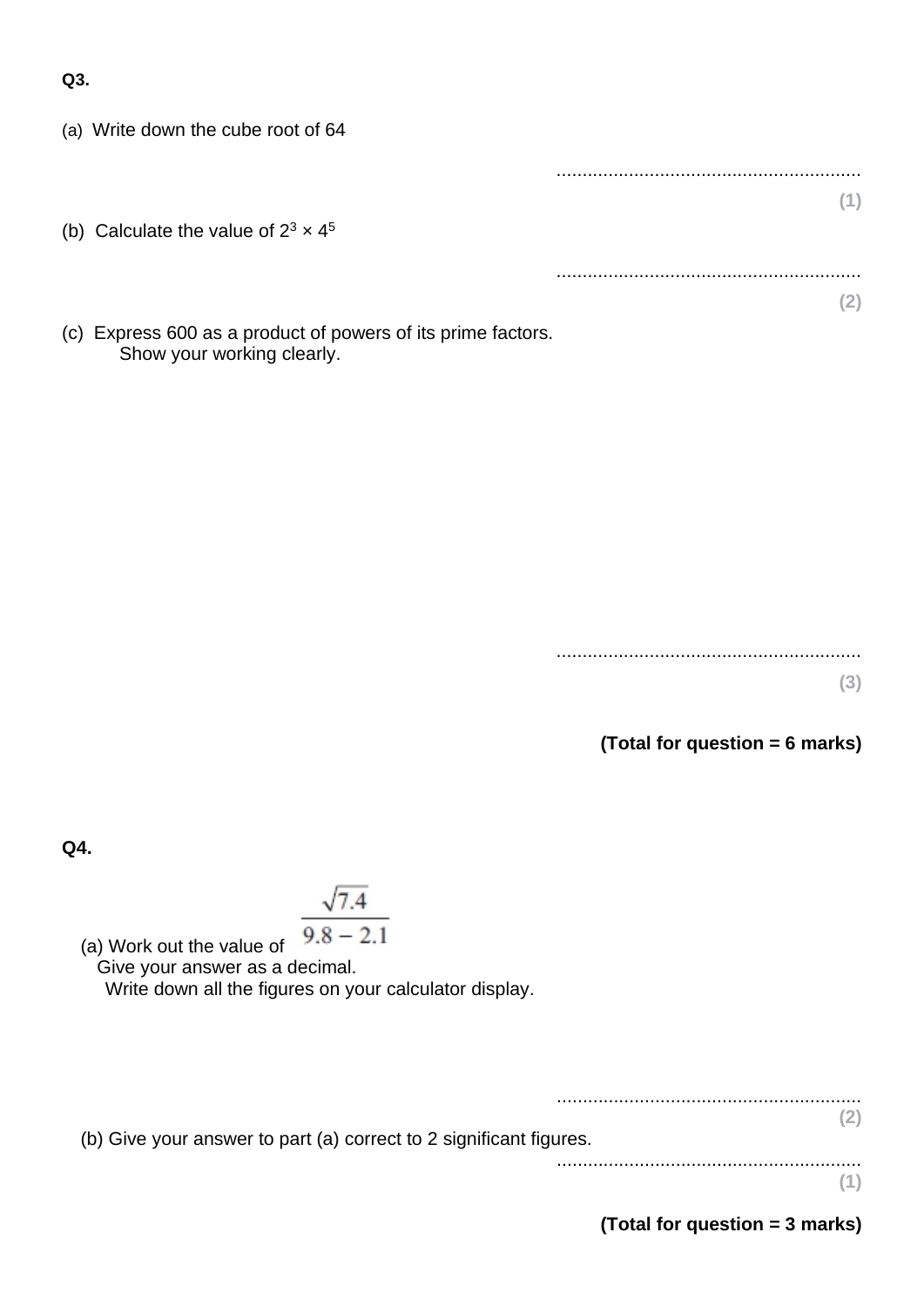**Q3.**

(a) Write down the cube root of 64

| (b) Calculate the value of $2^3 \times 4^5$                                                                                                                     |  |
|-----------------------------------------------------------------------------------------------------------------------------------------------------------------|--|
|                                                                                                                                                                 |  |
|                                                                                                                                                                 |  |
| $\mathcal{L}(\Lambda)$ . The same second construction of the second contract of $\mathcal{L}(\Lambda)$ . The same second construction of $\mathcal{L}(\Lambda)$ |  |

(c) Express 600 as a product of powers of its prime factors. Show your working clearly.

> ........................................................... **(3)**

**(Total for question = 6 marks)**

**Q4.**

# $\sqrt{7.4}$

 $9.8 - 2.1$ (a) Work out the value of Give your answer as a decimal.

Write down all the figures on your calculator display.

........................................................... **(2)**

...........................................................

(b) Give your answer to part (a) correct to 2 significant figures.

**(1)**

**(Total for question = 3 marks)**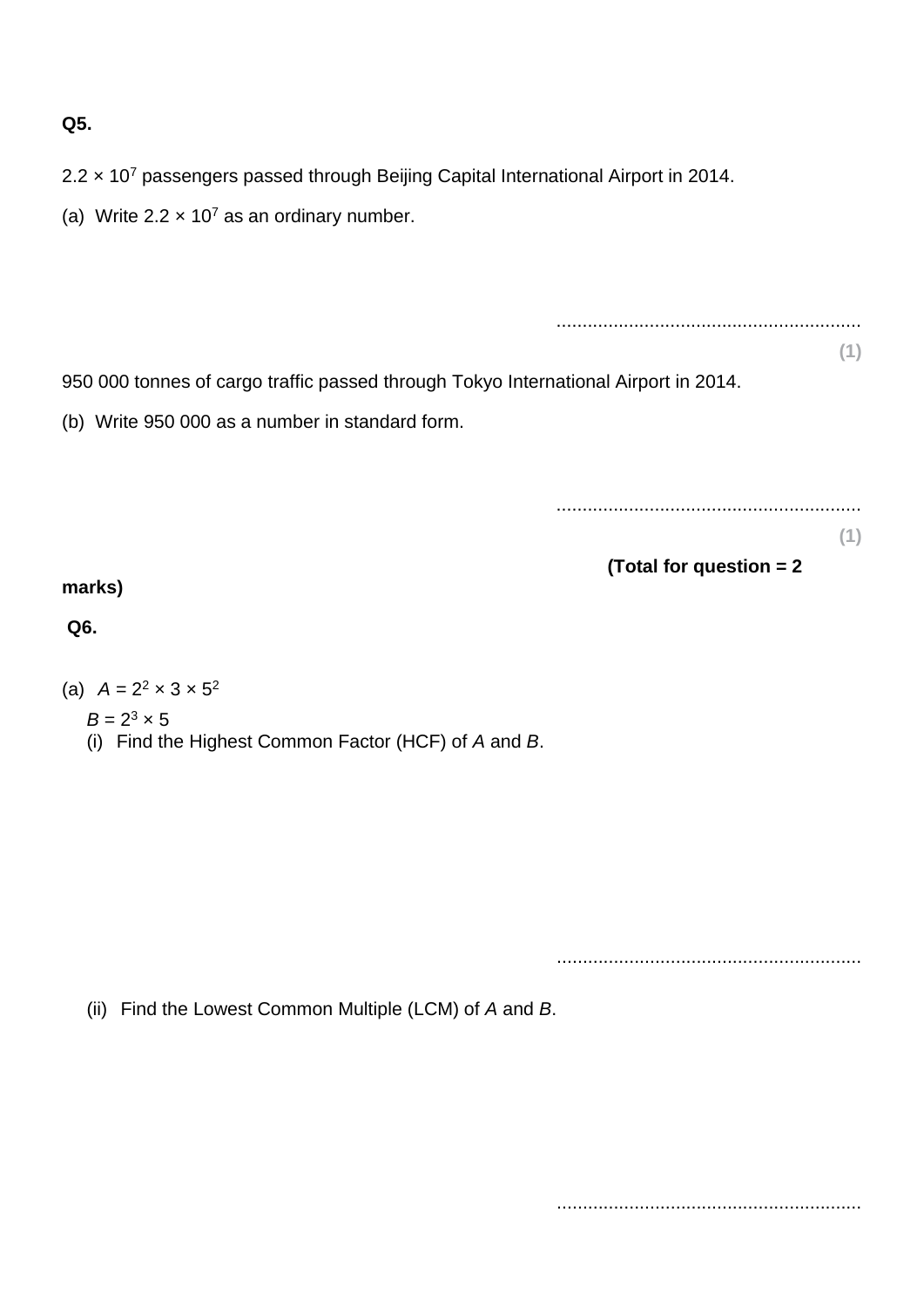### **Q5.**

- 2.2 × 10<sup>7</sup> passengers passed through Beijing Capital International Airport in 2014.
- (a) Write  $2.2 \times 10^7$  as an ordinary number.

950 000 tonnes of cargo traffic passed through Tokyo International Airport in 2014.

(b) Write 950 000 as a number in standard form.

...........................................................

...........................................................

**(1)**

**(1)**

**(Total for question = 2** 

### **marks)**

**Q6.**

- (a)  $A = 2^2 \times 3 \times 5^2$ 
	- $B = 2^3 \times 5$
	- (i) Find the Highest Common Factor (HCF) of *A* and *B*.

...........................................................

(ii) Find the Lowest Common Multiple (LCM) of *A* and *B*.

...........................................................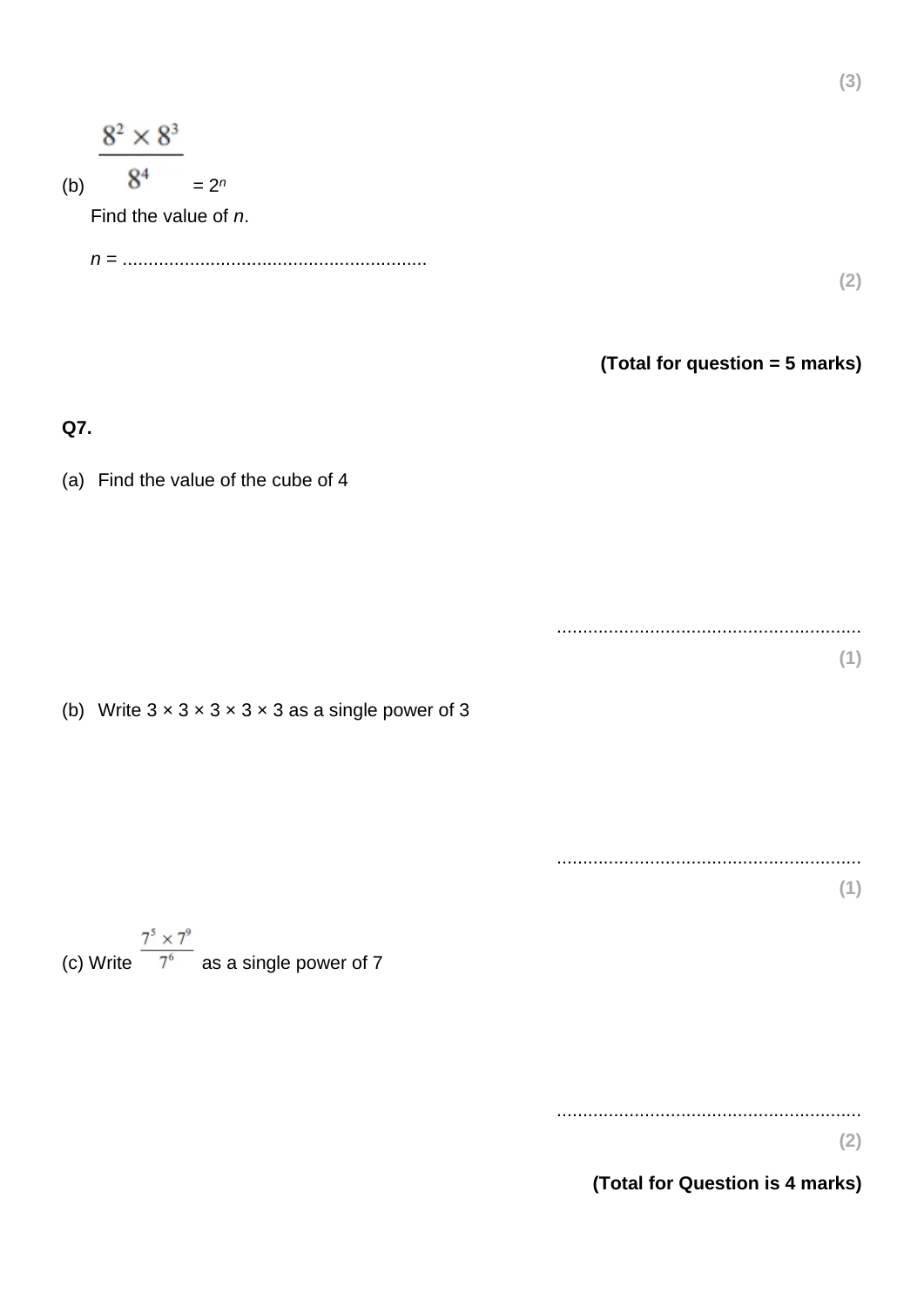| $8^2 \times 8^3$<br>8 <sup>4</sup><br>(b)<br>Find the value of n. | $= 2^n$                                                                  | (2)<br>(Total for question = 5 marks) |
|-------------------------------------------------------------------|--------------------------------------------------------------------------|---------------------------------------|
| Q7.                                                               |                                                                          |                                       |
|                                                                   | (a) Find the value of the cube of 4                                      |                                       |
|                                                                   |                                                                          |                                       |
|                                                                   |                                                                          | (1)                                   |
|                                                                   | (b) Write $3 \times 3 \times 3 \times 3 \times 3$ as a single power of 3 |                                       |
|                                                                   |                                                                          | (1)                                   |
|                                                                   | (c) Write $\frac{7^5 \times 7^9}{7^6}$ as a single power of 7            |                                       |

...........................................................

**(2)**

**(3)**

**(Total for Question is 4 marks)**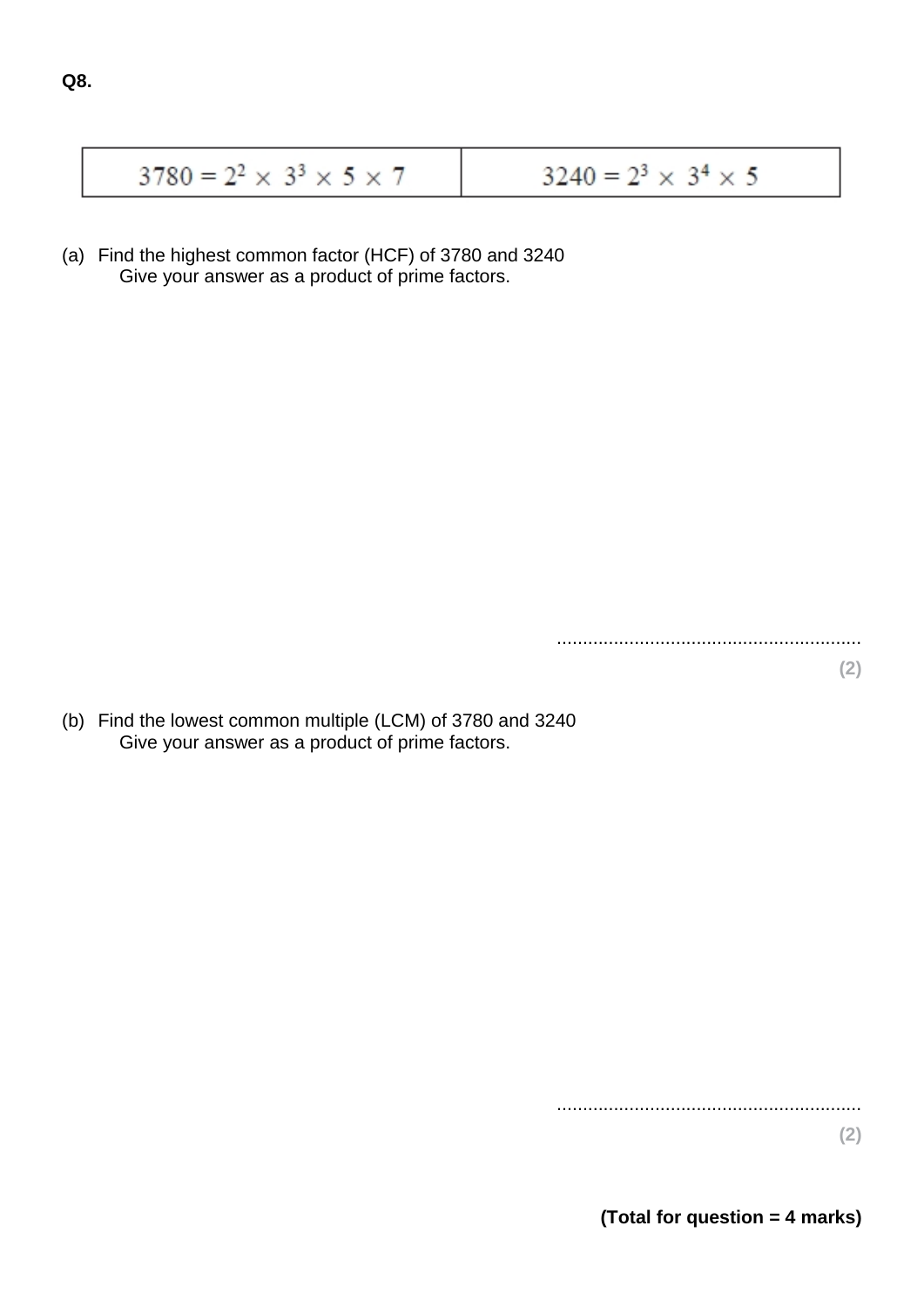| $3780 = 2^2 \times 3^3 \times 5 \times 7$ | $3240 = 2^3 \times 3^4 \times 5$ |
|-------------------------------------------|----------------------------------|
|-------------------------------------------|----------------------------------|

(a) Find the highest common factor (HCF) of 3780 and 3240 Give your answer as a product of prime factors.

...........................................................

(b) Find the lowest common multiple (LCM) of 3780 and 3240 Give your answer as a product of prime factors.

...........................................................

**(2)**

**(2)**

**(Total for question = 4 marks)**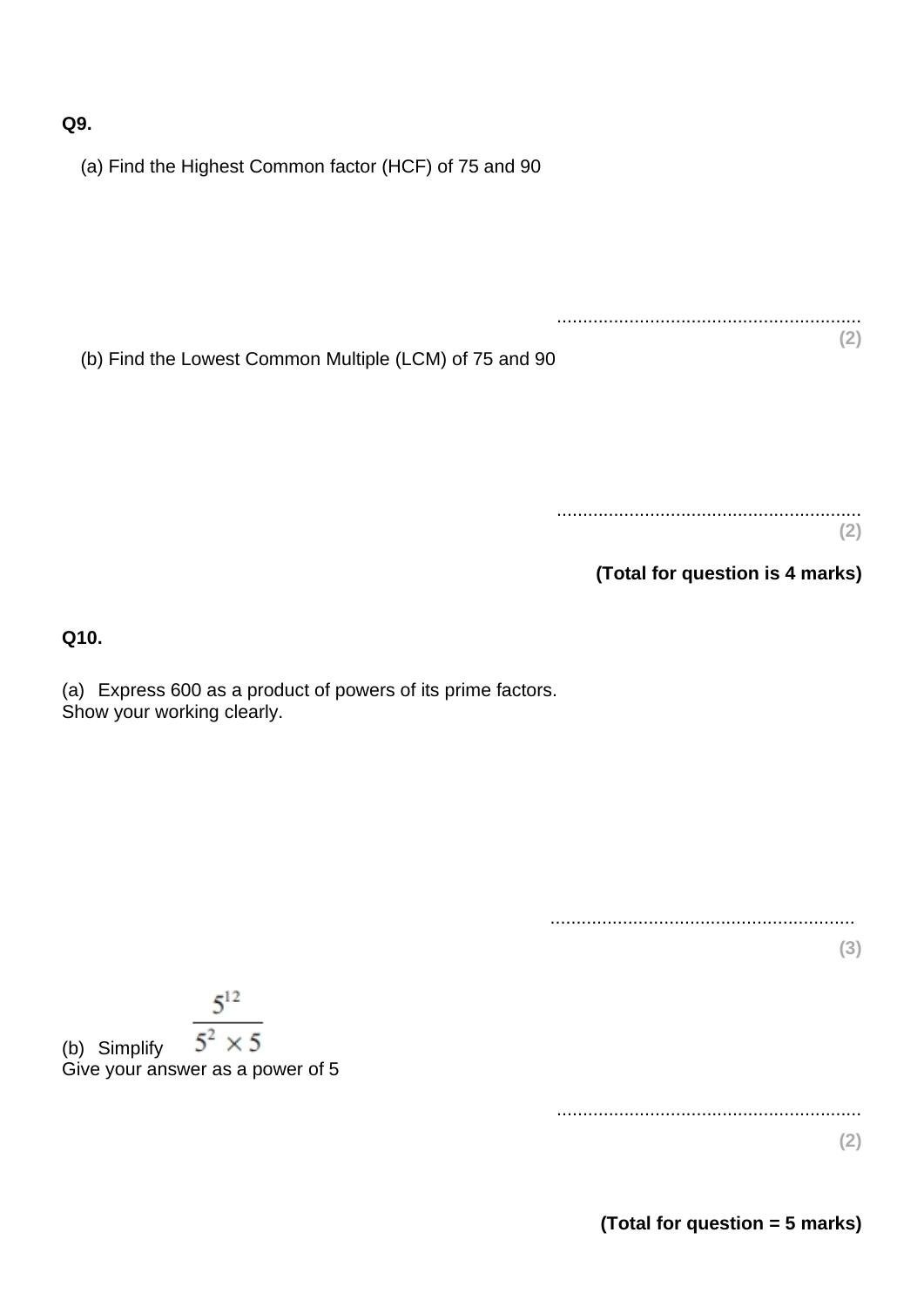**Q9.**

(a) Find the Highest Common factor (HCF) of 75 and 90

(b) Find the Lowest Common Multiple (LCM) of 75 and 90

........................................................... **(2)**

...........................................................

**(Total for question is 4 marks)**

**Q10.**

(a) Express 600 as a product of powers of its prime factors. Show your working clearly.

...........................................................

**(3)**

**(2)**

 $5^{12}$  $5^2 \times 5$ 

(b) Simplify Give your answer as a power of 5

...........................................................

**(2)**

**(Total for question = 5 marks)**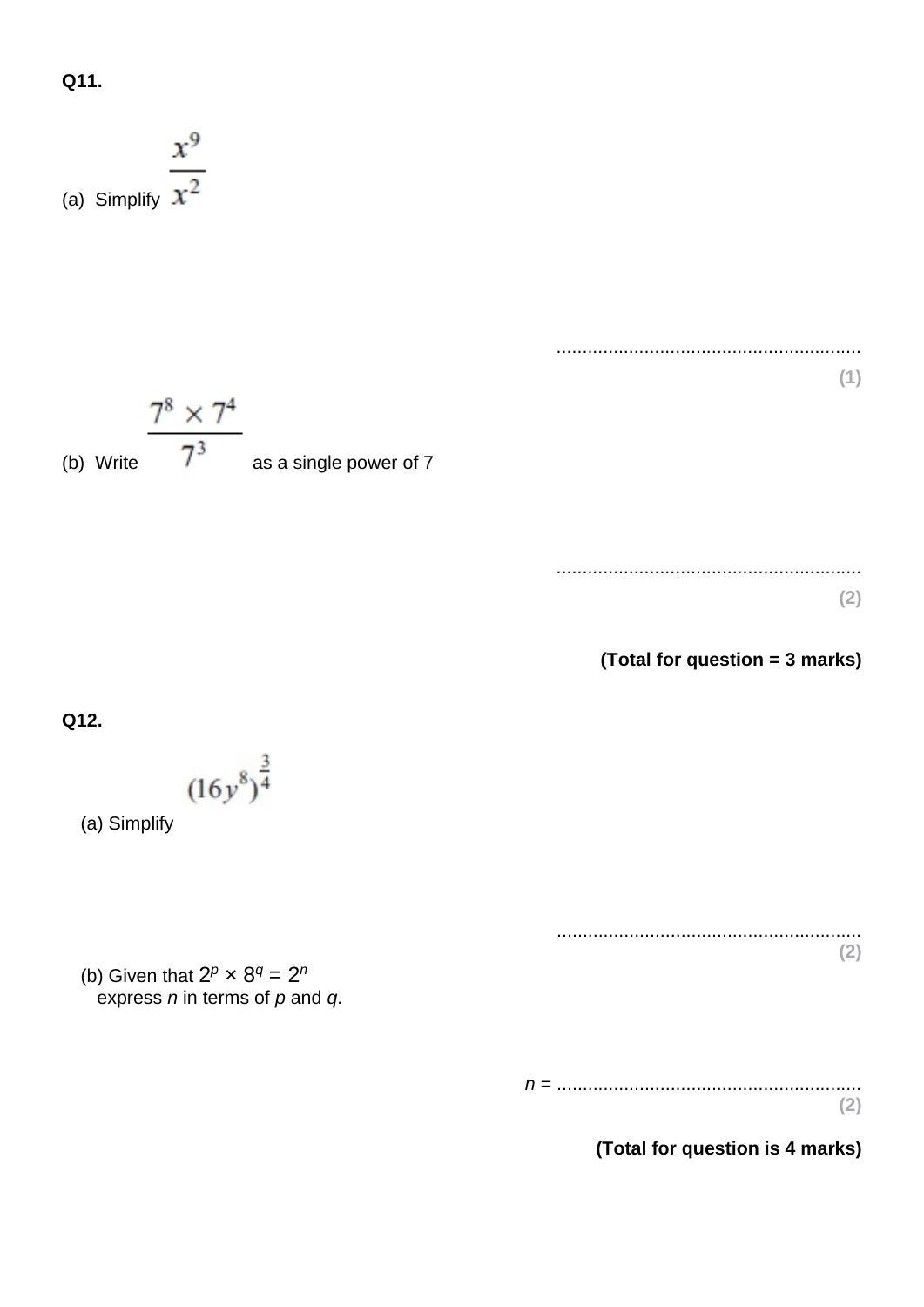**Q11.**

(a) Simplify ........................................................... **(1)** (b) Write as a single power of 7 ........................................................... **(2) (Total for question = 3 marks) Q12.** (a) Simplify ........................................................... **(2)** (b) Given that 2 *<sup>p</sup>* × 8*<sup>q</sup>* = 2*<sup>n</sup>* express *n* in terms of *p* and *q*. *n* = ........................................................... **(2) (Total for question is 4 marks)**